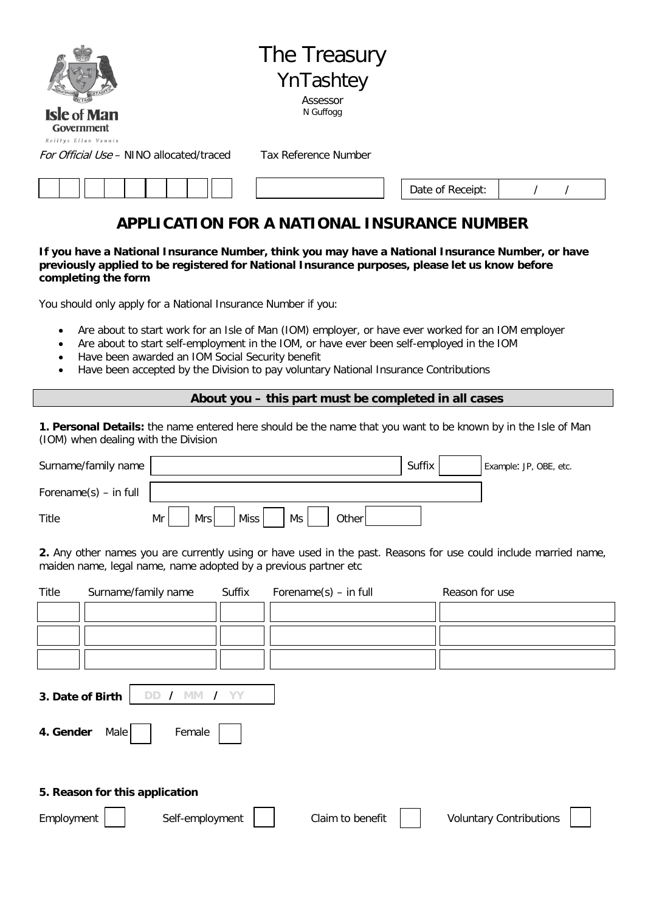

# The Treasury YnTashtey Assessor

N Guffogg

Government Reiltys Ellan Vannis

For Official Use – NINO allocated/traced Tax Reference Number

| Date of Receipt: |  |  |  |
|------------------|--|--|--|
|------------------|--|--|--|

٦

# **APPLICATION FOR A NATIONAL INSURANCE NUMBER**

**If you have a National Insurance Number, think you may have a National Insurance Number, or have previously applied to be registered for National Insurance purposes, please let us know before completing the form**

You should only apply for a National Insurance Number if you:

- Are about to start work for an Isle of Man (IOM) employer, or have ever worked for an IOM employer
- Are about to start self-employment in the IOM, or have ever been self-employed in the IOM
- Have been awarded an IOM Social Security benefit
- Have been accepted by the Division to pay voluntary National Insurance Contributions

#### **About you – this part must be completed in all cases**

**1. Personal Details:** the name entered here should be the name that you want to be known by in the Isle of Man (IOM) when dealing with the Division

| Surname/family name      |                                         | Suffix | Example: JP, OBE, etc. |
|--------------------------|-----------------------------------------|--------|------------------------|
| Forename $(s)$ – in full |                                         |        |                        |
| Title                    | Mr<br>Ms<br>Mrs<br><b>Miss</b><br>Other |        |                        |

**2.** Any other names you are currently using or have used in the past. Reasons for use could include married name, maiden name, legal name, name adopted by a previous partner etc

| Title                         | Surname/family name            | Suffix | Forename $(s)$ – in full | Reason for use                 |
|-------------------------------|--------------------------------|--------|--------------------------|--------------------------------|
|                               |                                |        |                          |                                |
|                               |                                |        |                          |                                |
|                               |                                |        |                          |                                |
| 3. Date of Birth<br>4. Gender | DD.<br>Female<br>Male          | YΥ     |                          |                                |
|                               | 5. Reason for this application |        |                          |                                |
| Employment                    | Self-employment                |        | Claim to benefit         | <b>Voluntary Contributions</b> |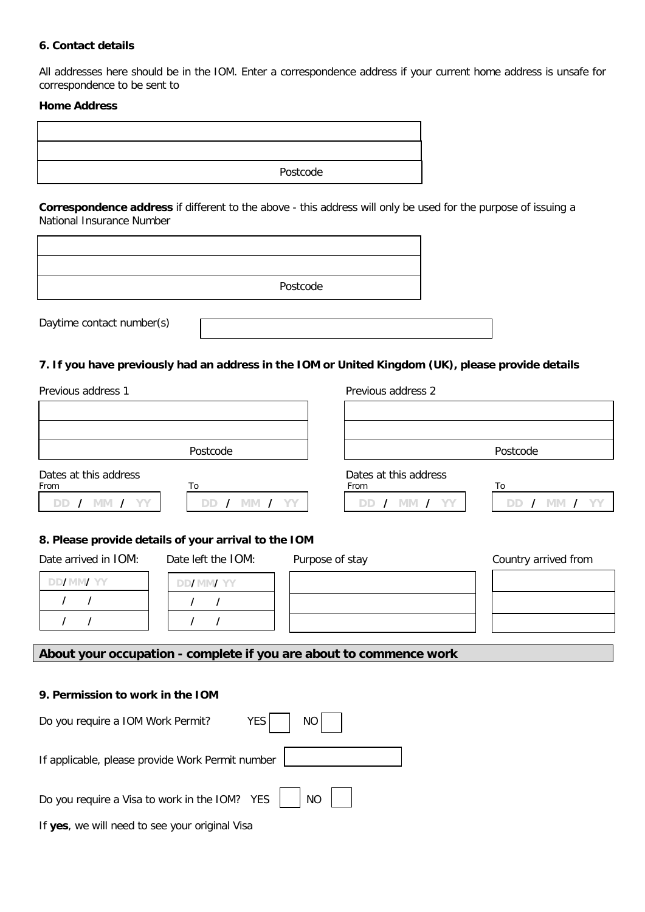#### **6. Contact details**

All addresses here should be in the IOM. Enter a correspondence address if your current home address is unsafe for correspondence to be sent to

#### **Home Address**

| Postcode |  |  |
|----------|--|--|
|          |  |  |
|          |  |  |

**Correspondence address** if different to the above - this address will only be used for the purpose of issuing a National Insurance Number

|                           | Postcode |  |
|---------------------------|----------|--|
| Daytime contact number(s) |          |  |

### **7. If you have previously had an address in the IOM or United Kingdom (UK), please provide details**

Previous address 1 Previous address 2

| Postcode              | Postcode              |
|-----------------------|-----------------------|
| Dates at this address | Dates at this address |

| Postcode |
|----------|

From To From To DD / MM / YY | | DD / MM / YY | | DD / MM / YY

| Г<br>ำ |  |  |  |
|--------|--|--|--|
|        |  |  |  |

٦

### **8. Please provide details of your arrival to the IOM**

| Date arrived in IOM: | Date left the IOM: | Purpose of stay | Country arrived from |
|----------------------|--------------------|-----------------|----------------------|
| DD <b>/MM/YY</b>     | DD/MM/YY           |                 |                      |
|                      |                    |                 |                      |
|                      |                    |                 |                      |

## **About your occupation - complete if you are about to commence work**

#### **9. Permission to work in the IOM**

| Do you require a IOM Work Permit?                | $YES$   NO |
|--------------------------------------------------|------------|
| If applicable, please provide Work Permit number |            |
|                                                  |            |
| If yes, we will need to see your original Visa   |            |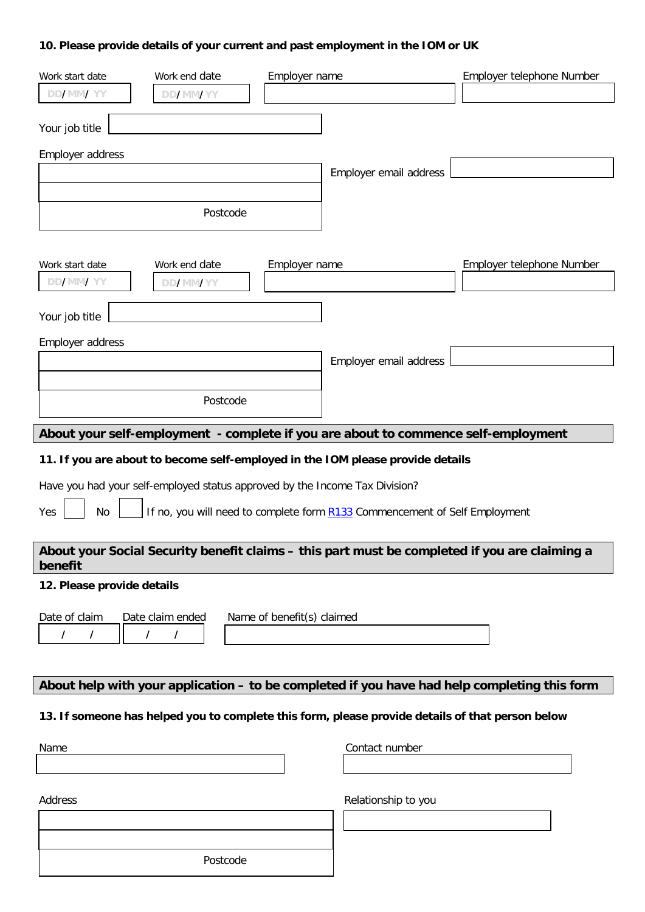# **10. Please provide details of your current and past employment in the IOM or UK**

| Work start date                                                                                  | Work end date                                                               | Employer name              |                                                                                    | Employer telephone Number                                                                     |  |  |
|--------------------------------------------------------------------------------------------------|-----------------------------------------------------------------------------|----------------------------|------------------------------------------------------------------------------------|-----------------------------------------------------------------------------------------------|--|--|
| <b>DD/MM/YY</b>                                                                                  | <b>DD/MM/YY</b>                                                             |                            |                                                                                    |                                                                                               |  |  |
| Your job title                                                                                   |                                                                             |                            |                                                                                    |                                                                                               |  |  |
| Employer address                                                                                 |                                                                             |                            |                                                                                    |                                                                                               |  |  |
|                                                                                                  |                                                                             |                            | Employer email address                                                             |                                                                                               |  |  |
|                                                                                                  |                                                                             |                            |                                                                                    |                                                                                               |  |  |
|                                                                                                  | Postcode                                                                    |                            |                                                                                    |                                                                                               |  |  |
|                                                                                                  |                                                                             |                            |                                                                                    |                                                                                               |  |  |
| Work start date                                                                                  | Work end date                                                               | Employer name              |                                                                                    | Employer telephone Number                                                                     |  |  |
| DD/MM/YY                                                                                         | <b>DD/MM/YY</b>                                                             |                            |                                                                                    |                                                                                               |  |  |
| Your job title                                                                                   |                                                                             |                            |                                                                                    |                                                                                               |  |  |
| Employer address                                                                                 |                                                                             |                            |                                                                                    |                                                                                               |  |  |
|                                                                                                  |                                                                             |                            | Employer email address                                                             |                                                                                               |  |  |
|                                                                                                  |                                                                             |                            |                                                                                    |                                                                                               |  |  |
|                                                                                                  | Postcode                                                                    |                            |                                                                                    |                                                                                               |  |  |
|                                                                                                  |                                                                             |                            | About your self-employment - complete if you are about to commence self-employment |                                                                                               |  |  |
|                                                                                                  |                                                                             |                            |                                                                                    |                                                                                               |  |  |
|                                                                                                  |                                                                             |                            | 11. If you are about to become self-employed in the IOM please provide details     |                                                                                               |  |  |
|                                                                                                  | Have you had your self-employed status approved by the Income Tax Division? |                            |                                                                                    |                                                                                               |  |  |
| No<br>Yes                                                                                        |                                                                             |                            | If no, you will need to complete form <b>R133</b> Commencement of Self Employment  |                                                                                               |  |  |
|                                                                                                  |                                                                             |                            |                                                                                    | About your Social Security benefit claims - this part must be completed if you are claiming a |  |  |
| benefit                                                                                          |                                                                             |                            |                                                                                    |                                                                                               |  |  |
| 12. Please provide details                                                                       |                                                                             |                            |                                                                                    |                                                                                               |  |  |
| Date of claim                                                                                    | Date claim ended                                                            | Name of benefit(s) claimed |                                                                                    |                                                                                               |  |  |
| $\prime$<br>$\prime$                                                                             | $\prime$<br>$\prime$                                                        |                            |                                                                                    |                                                                                               |  |  |
|                                                                                                  |                                                                             |                            |                                                                                    |                                                                                               |  |  |
|                                                                                                  |                                                                             |                            |                                                                                    | About help with your application - to be completed if you have had help completing this form  |  |  |
|                                                                                                  |                                                                             |                            |                                                                                    |                                                                                               |  |  |
| 13. If someone has helped you to complete this form, please provide details of that person below |                                                                             |                            |                                                                                    |                                                                                               |  |  |
| Name                                                                                             |                                                                             |                            | Contact number                                                                     |                                                                                               |  |  |
|                                                                                                  |                                                                             |                            |                                                                                    |                                                                                               |  |  |
| Address                                                                                          |                                                                             |                            | Relationship to you                                                                |                                                                                               |  |  |
|                                                                                                  |                                                                             |                            |                                                                                    |                                                                                               |  |  |
|                                                                                                  |                                                                             |                            |                                                                                    |                                                                                               |  |  |
|                                                                                                  | Postcode                                                                    |                            |                                                                                    |                                                                                               |  |  |